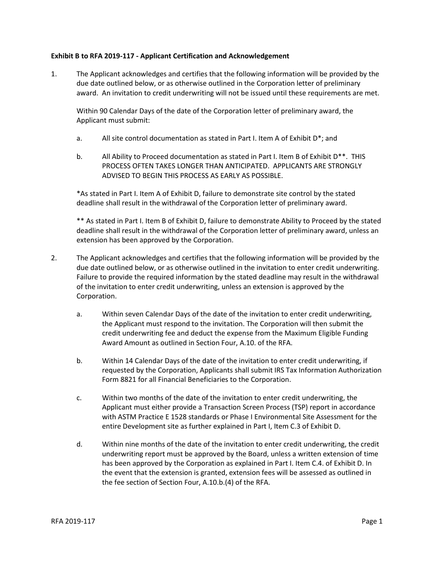## **Exhibit B to RFA 2019-117 - Applicant Certification and Acknowledgement**

1. The Applicant acknowledges and certifies that the following information will be provided by the due date outlined below, or as otherwise outlined in the Corporation letter of preliminary award. An invitation to credit underwriting will not be issued until these requirements are met.

Within 90 Calendar Days of the date of the Corporation letter of preliminary award, the Applicant must submit:

- a. All site control documentation as stated in Part I. Item A of Exhibit D\*; and
- b. All Ability to Proceed documentation as stated in Part I. Item B of Exhibit D\*\*. THIS PROCESS OFTEN TAKES LONGER THAN ANTICIPATED. APPLICANTS ARE STRONGLY ADVISED TO BEGIN THIS PROCESS AS EARLY AS POSSIBLE.

\*As stated in Part I. Item A of Exhibit D, failure to demonstrate site control by the stated deadline shall result in the withdrawal of the Corporation letter of preliminary award.

\*\* As stated in Part I. Item B of Exhibit D, failure to demonstrate Ability to Proceed by the stated deadline shall result in the withdrawal of the Corporation letter of preliminary award, unless an extension has been approved by the Corporation.

- 2. The Applicant acknowledges and certifies that the following information will be provided by the due date outlined below, or as otherwise outlined in the invitation to enter credit underwriting. Failure to provide the required information by the stated deadline may result in the withdrawal of the invitation to enter credit underwriting, unless an extension is approved by the Corporation.
	- a. Within seven Calendar Days of the date of the invitation to enter credit underwriting, the Applicant must respond to the invitation. The Corporation will then submit the credit underwriting fee and deduct the expense from the Maximum Eligible Funding Award Amount as outlined in Section Four, A.10. of the RFA.
	- b. Within 14 Calendar Days of the date of the invitation to enter credit underwriting, if requested by the Corporation, Applicants shall submit IRS Tax Information Authorization Form 8821 for all Financial Beneficiaries to the Corporation.
	- c. Within two months of the date of the invitation to enter credit underwriting, the Applicant must either provide a Transaction Screen Process (TSP) report in accordance with ASTM Practice E 1528 standards or Phase I Environmental Site Assessment for the entire Development site as further explained in Part I, Item C.3 of Exhibit D.
	- d. Within nine months of the date of the invitation to enter credit underwriting, the credit underwriting report must be approved by the Board, unless a written extension of time has been approved by the Corporation as explained in Part I. Item C.4. of Exhibit D. In the event that the extension is granted, extension fees will be assessed as outlined in the fee section of Section Four, A.10.b.(4) of the RFA.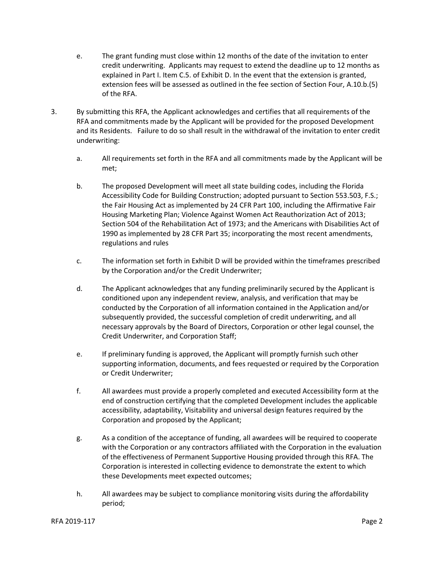- e. The grant funding must close within 12 months of the date of the invitation to enter credit underwriting. Applicants may request to extend the deadline up to 12 months as explained in Part I. Item C.5. of Exhibit D. In the event that the extension is granted, extension fees will be assessed as outlined in the fee section of Section Four, A.10.b.(5) of the RFA.
- 3. By submitting this RFA, the Applicant acknowledges and certifies that all requirements of the RFA and commitments made by the Applicant will be provided for the proposed Development and its Residents. Failure to do so shall result in the withdrawal of the invitation to enter credit underwriting:
	- a. All requirements set forth in the RFA and all commitments made by the Applicant will be met;
	- b. The proposed Development will meet all state building codes, including the Florida Accessibility Code for Building Construction; adopted pursuant to Section 553.503, F.S.; the Fair Housing Act as implemented by 24 CFR Part 100, including the Affirmative Fair Housing Marketing Plan; Violence Against Women Act Reauthorization Act of 2013; Section 504 of the Rehabilitation Act of 1973; and the Americans with Disabilities Act of 1990 as implemented by 28 CFR Part 35; incorporating the most recent amendments, regulations and rules
	- c. The information set forth in Exhibit D will be provided within the timeframes prescribed by the Corporation and/or the Credit Underwriter;
	- d. The Applicant acknowledges that any funding preliminarily secured by the Applicant is conditioned upon any independent review, analysis, and verification that may be conducted by the Corporation of all information contained in the Application and/or subsequently provided, the successful completion of credit underwriting, and all necessary approvals by the Board of Directors, Corporation or other legal counsel, the Credit Underwriter, and Corporation Staff;
	- e. If preliminary funding is approved, the Applicant will promptly furnish such other supporting information, documents, and fees requested or required by the Corporation or Credit Underwriter;
	- f. All awardees must provide a properly completed and executed Accessibility form at the end of construction certifying that the completed Development includes the applicable accessibility, adaptability, Visitability and universal design features required by the Corporation and proposed by the Applicant;
	- g. As a condition of the acceptance of funding, all awardees will be required to cooperate with the Corporation or any contractors affiliated with the Corporation in the evaluation of the effectiveness of Permanent Supportive Housing provided through this RFA. The Corporation is interested in collecting evidence to demonstrate the extent to which these Developments meet expected outcomes;
	- h. All awardees may be subject to compliance monitoring visits during the affordability period;